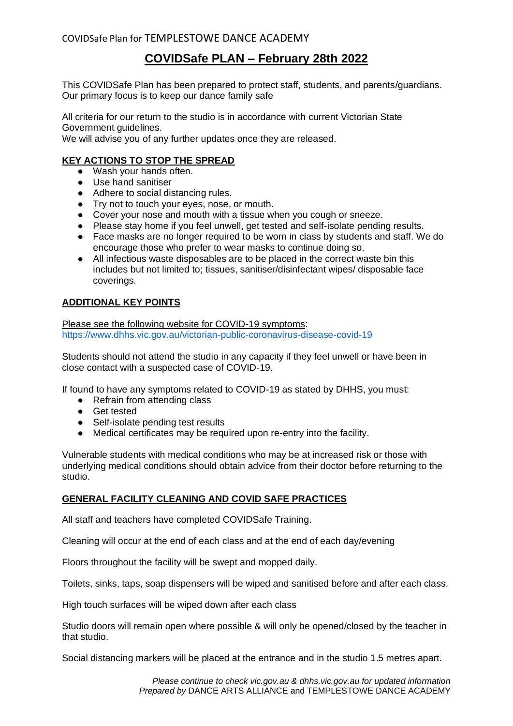# **COVIDSafe PLAN – February 28th 2022**

This COVIDSafe Plan has been prepared to protect staff, students, and parents/guardians. Our primary focus is to keep our dance family safe

All criteria for our return to the studio is in accordance with current Victorian State Government guidelines.

We will advise you of any further updates once they are released.

#### **KEY ACTIONS TO STOP THE SPREAD**

- Wash your hands often.
- Use hand sanitiser
- Adhere to social distancing rules.
- Try not to touch your eyes, nose, or mouth.
- Cover your nose and mouth with a tissue when you cough or sneeze.
- Please stay home if you feel unwell, get tested and self-isolate pending results.
- Face masks are no longer required to be worn in class by students and staff. We do encourage those who prefer to wear masks to continue doing so.
- All infectious waste disposables are to be placed in the correct waste bin this includes but not limited to; tissues, sanitiser/disinfectant wipes/ disposable face coverings.

#### **ADDITIONAL KEY POINTS**

Please see the following website for COVID-19 symptoms: <https://www.dhhs.vic.gov.au/victorian-public-coronavirus-disease-covid-19>

Students should not attend the studio in any capacity if they feel unwell or have been in close contact with a suspected case of COVID-19.

If found to have any symptoms related to COVID-19 as stated by DHHS, you must:

- Refrain from attending class
- Get tested
- Self-isolate pending test results
- Medical certificates may be required upon re-entry into the facility.

Vulnerable students with medical conditions who may be at increased risk or those with underlying medical conditions should obtain advice from their doctor before returning to the studio.

#### **GENERAL FACILITY CLEANING AND COVID SAFE PRACTICES**

All staff and teachers have completed COVIDSafe Training.

Cleaning will occur at the end of each class and at the end of each day/evening

Floors throughout the facility will be swept and mopped daily.

Toilets, sinks, taps, soap dispensers will be wiped and sanitised before and after each class.

High touch surfaces will be wiped down after each class

Studio doors will remain open where possible & will only be opened/closed by the teacher in that studio.

Social distancing markers will be placed at the entrance and in the studio 1.5 metres apart.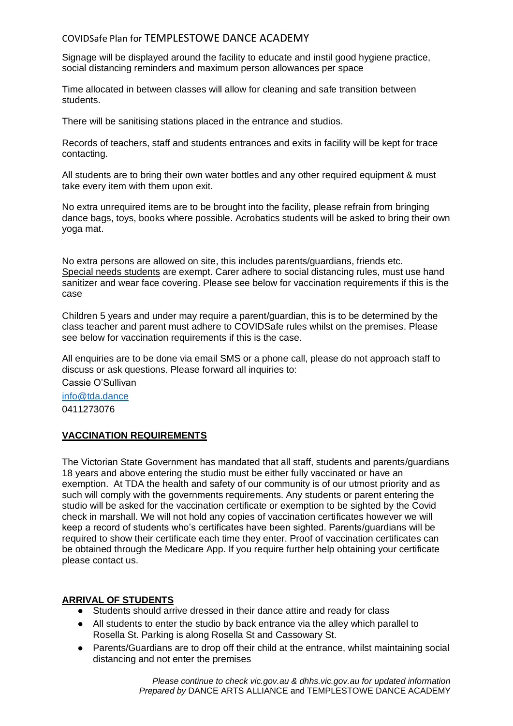#### COVIDSafe Plan for TEMPLESTOWE DANCE ACADEMY

Signage will be displayed around the facility to educate and instil good hygiene practice, social distancing reminders and maximum person allowances per space

Time allocated in between classes will allow for cleaning and safe transition between students.

There will be sanitising stations placed in the entrance and studios.

Records of teachers, staff and students entrances and exits in facility will be kept for trace contacting.

All students are to bring their own water bottles and any other required equipment & must take every item with them upon exit.

No extra unrequired items are to be brought into the facility, please refrain from bringing dance bags, toys, books where possible. Acrobatics students will be asked to bring their own yoga mat.

No extra persons are allowed on site, this includes parents/guardians, friends etc. Special needs students are exempt. Carer adhere to social distancing rules, must use hand sanitizer and wear face covering. Please see below for vaccination requirements if this is the case

Children 5 years and under may require a parent/guardian, this is to be determined by the class teacher and parent must adhere to COVIDSafe rules whilst on the premises. Please see below for vaccination requirements if this is the case.

All enquiries are to be done via email SMS or a phone call, please do not approach staff to discuss or ask questions. Please forward all inquiries to:

Cassie O'Sullivan

[info@tda.dance](mailto:info@tda.dance) 0411273076

#### **VACCINATION REQUIREMENTS**

The Victorian State Government has mandated that all staff, students and parents/guardians 18 years and above entering the studio must be either fully vaccinated or have an exemption. At TDA the health and safety of our community is of our utmost priority and as such will comply with the governments requirements. Any students or parent entering the studio will be asked for the vaccination certificate or exemption to be sighted by the Covid check in marshall. We will not hold any copies of vaccination certificates however we will keep a record of students who's certificates have been sighted. Parents/guardians will be required to show their certificate each time they enter. Proof of vaccination certificates can be obtained through the Medicare App. If you require further help obtaining your certificate please contact us.

#### **ARRIVAL OF STUDENTS**

- Students should arrive dressed in their dance attire and ready for class
- All students to enter the studio by back entrance via the alley which parallel to Rosella St. Parking is along Rosella St and Cassowary St.
- Parents/Guardians are to drop off their child at the entrance, whilst maintaining social distancing and not enter the premises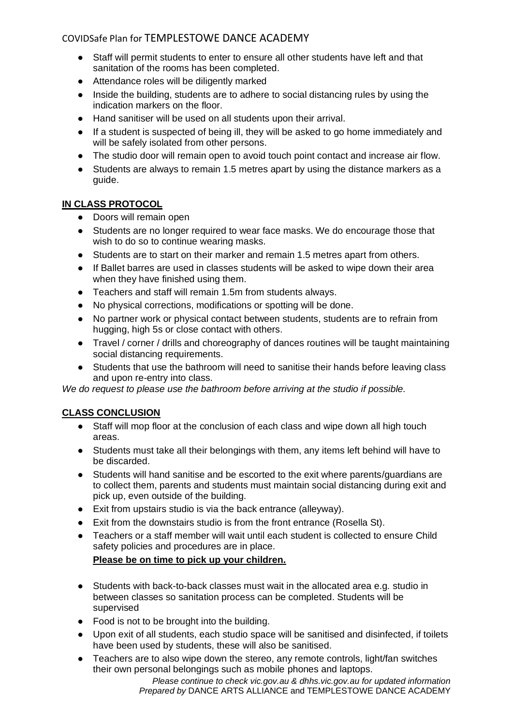# COVIDSafe Plan for TEMPLESTOWE DANCE ACADEMY

- Staff will permit students to enter to ensure all other students have left and that sanitation of the rooms has been completed.
- Attendance roles will be diligently marked
- Inside the building, students are to adhere to social distancing rules by using the indication markers on the floor.
- Hand sanitiser will be used on all students upon their arrival.
- If a student is suspected of being ill, they will be asked to go home immediately and will be safely isolated from other persons.
- The studio door will remain open to avoid touch point contact and increase air flow.
- Students are always to remain 1.5 metres apart by using the distance markers as a guide.

#### **IN CLASS PROTOCOL**

- Doors will remain open
- Students are no longer required to wear face masks. We do encourage those that wish to do so to continue wearing masks.
- Students are to start on their marker and remain 1.5 metres apart from others.
- If Ballet barres are used in classes students will be asked to wipe down their area when they have finished using them.
- Teachers and staff will remain 1.5m from students always.
- No physical corrections, modifications or spotting will be done.
- No partner work or physical contact between students, students are to refrain from hugging, high 5s or close contact with others.
- Travel / corner / drills and choreography of dances routines will be taught maintaining social distancing requirements.
- Students that use the bathroom will need to sanitise their hands before leaving class and upon re-entry into class.

*We do request to please use the bathroom before arriving at the studio if possible.*

# **CLASS CONCLUSION**

- Staff will mop floor at the conclusion of each class and wipe down all high touch areas.
- Students must take all their belongings with them, any items left behind will have to be discarded.
- Students will hand sanitise and be escorted to the exit where parents/guardians are to collect them, parents and students must maintain social distancing during exit and pick up, even outside of the building.
- Exit from upstairs studio is via the back entrance (alleyway).
- Exit from the downstairs studio is from the front entrance (Rosella St).
- Teachers or a staff member will wait until each student is collected to ensure Child safety policies and procedures are in place.

# **Please be on time to pick up your children.**

- Students with back-to-back classes must wait in the allocated area e.g. studio in between classes so sanitation process can be completed. Students will be supervised
- Food is not to be brought into the building.
- Upon exit of all students, each studio space will be sanitised and disinfected, if toilets have been used by students, these will also be sanitised.
- Teachers are to also wipe down the stereo, any remote controls, light/fan switches their own personal belongings such as mobile phones and laptops.